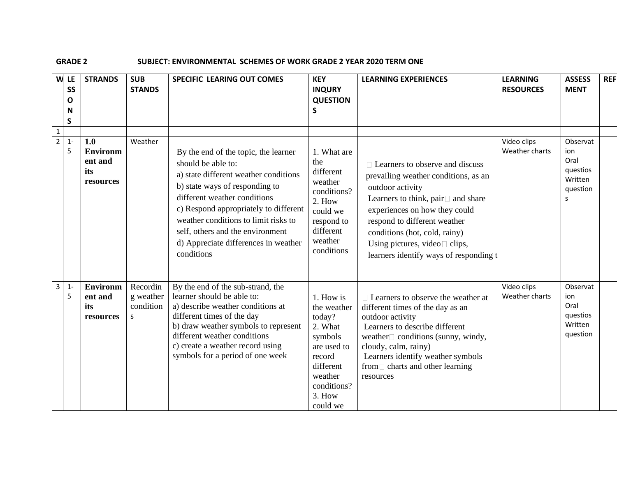## **GRADE 2 SUBJECT: ENVIRONMENTAL SCHEMES OF WORK GRADE 2 YEAR 2020 TERM ONE**

|                                | W LE<br>SS<br>O<br>N<br>S | <b>STRANDS</b>                                        | <b>SUB</b><br><b>STANDS</b>             | <b>SPECIFIC LEARING OUT COMES</b>                                                                                                                                                                                                                                                                                                                | <b>KEY</b><br><b>INQURY</b><br><b>QUESTION</b><br>$\mathsf{s}$                                                                                 | <b>LEARNING EXPERIENCES</b>                                                                                                                                                                                                                                                                                                    | <b>LEARNING</b><br><b>RESOURCES</b> | <b>ASSESS</b><br><b>MENT</b>                                    | <b>REF</b> |
|--------------------------------|---------------------------|-------------------------------------------------------|-----------------------------------------|--------------------------------------------------------------------------------------------------------------------------------------------------------------------------------------------------------------------------------------------------------------------------------------------------------------------------------------------------|------------------------------------------------------------------------------------------------------------------------------------------------|--------------------------------------------------------------------------------------------------------------------------------------------------------------------------------------------------------------------------------------------------------------------------------------------------------------------------------|-------------------------------------|-----------------------------------------------------------------|------------|
| $\mathbf{1}$<br>$\overline{2}$ | $1 -$<br>5                | 1.0<br><b>Environm</b><br>ent and<br>its<br>resources | Weather                                 | By the end of the topic, the learner<br>should be able to:<br>a) state different weather conditions<br>b) state ways of responding to<br>different weather conditions<br>c) Respond appropriately to different<br>weather conditions to limit risks to<br>self, others and the environment<br>d) Appreciate differences in weather<br>conditions | 1. What are<br>the<br>different<br>weather<br>conditions?<br>2. How<br>could we<br>respond to<br>different<br>weather<br>conditions            | $\Box$ Learners to observe and discuss<br>prevailing weather conditions, as an<br>outdoor activity<br>Learners to think, pair□ and share<br>experiences on how they could<br>respond to different weather<br>conditions (hot, cold, rainy)<br>Using pictures, video $\square$ clips,<br>learners identify ways of responding t | Video clips<br>Weather charts       | Observat<br>ion<br>Oral<br>questios<br>Written<br>question<br>s |            |
| $\mathbf{3}$                   | $1 -$<br>5                | <b>Environm</b><br>ent and<br>its<br>resources        | Recordin<br>g weather<br>condition<br>S | By the end of the sub-strand, the<br>learner should be able to:<br>a) describe weather conditions at<br>different times of the day<br>b) draw weather symbols to represent<br>different weather conditions<br>c) create a weather record using<br>symbols for a period of one week                                                               | 1. How is<br>the weather<br>today?<br>2. What<br>symbols<br>are used to<br>record<br>different<br>weather<br>conditions?<br>3. How<br>could we | $\Box$ Learners to observe the weather at<br>different times of the day as an<br>outdoor activity<br>Learners to describe different<br>weather $\Box$ conditions (sunny, windy,<br>cloudy, calm, rainy)<br>Learners identify weather symbols<br>from $\Box$ charts and other learning<br>resources                             | Video clips<br>Weather charts       | Observat<br>ion<br>Oral<br>questios<br>Written<br>question      |            |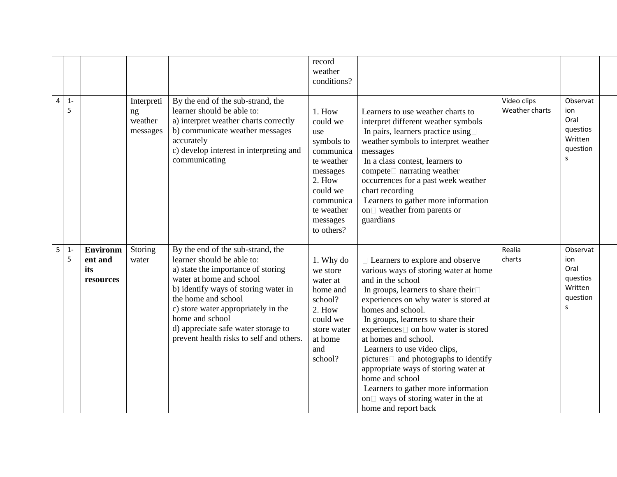|                |            |                                                |                                         |                                                                                                                                                                                                                                                                                                                                               | record<br>weather<br>conditions?                                                                                                                          |                                                                                                                                                                                                                                                                                                                                                                                                                                                                                                                                                                   |                               |                                                                 |
|----------------|------------|------------------------------------------------|-----------------------------------------|-----------------------------------------------------------------------------------------------------------------------------------------------------------------------------------------------------------------------------------------------------------------------------------------------------------------------------------------------|-----------------------------------------------------------------------------------------------------------------------------------------------------------|-------------------------------------------------------------------------------------------------------------------------------------------------------------------------------------------------------------------------------------------------------------------------------------------------------------------------------------------------------------------------------------------------------------------------------------------------------------------------------------------------------------------------------------------------------------------|-------------------------------|-----------------------------------------------------------------|
| $\overline{4}$ | $1 -$<br>5 |                                                | Interpreti<br>ng<br>weather<br>messages | By the end of the sub-strand, the<br>learner should be able to:<br>a) interpret weather charts correctly<br>b) communicate weather messages<br>accurately<br>c) develop interest in interpreting and<br>communicating                                                                                                                         | 1. How<br>could we<br>use<br>symbols to<br>communica<br>te weather<br>messages<br>2. How<br>could we<br>communica<br>te weather<br>messages<br>to others? | Learners to use weather charts to<br>interpret different weather symbols<br>In pairs, learners practice using $\square$<br>weather symbols to interpret weather<br>messages<br>In a class contest, learners to<br>compete□ narrating weather<br>occurrences for a past week weather<br>chart recording<br>Learners to gather more information<br>on weather from parents or<br>guardians                                                                                                                                                                          | Video clips<br>Weather charts | Observat<br>ion<br>Oral<br>questios<br>Written<br>question<br>S |
| 5              | $1 -$<br>5 | <b>Environm</b><br>ent and<br>its<br>resources | Storing<br>water                        | By the end of the sub-strand, the<br>learner should be able to:<br>a) state the importance of storing<br>water at home and school<br>b) identify ways of storing water in<br>the home and school<br>c) store water appropriately in the<br>home and school<br>d) appreciate safe water storage to<br>prevent health risks to self and others. | 1. Why do<br>we store<br>water at<br>home and<br>school?<br>2. How<br>could we<br>store water<br>at home<br>and<br>school?                                | $\Box$ Learners to explore and observe<br>various ways of storing water at home<br>and in the school<br>In groups, learners to share their $\square$<br>experiences on why water is stored at<br>homes and school.<br>In groups, learners to share their<br>experiences□ on how water is stored<br>at homes and school.<br>Learners to use video clips,<br>$pictures$ and photographs to identify<br>appropriate ways of storing water at<br>home and school<br>Learners to gather more information<br>on vays of storing water in the at<br>home and report back | Realia<br>charts              | Observat<br>ion<br>Oral<br>questios<br>Written<br>question<br>S |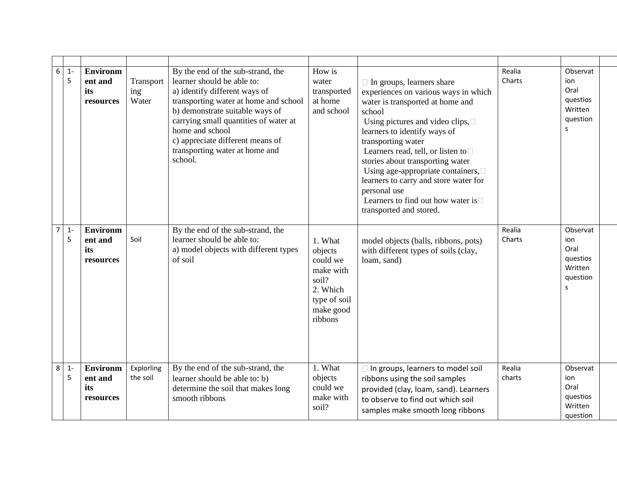| 6              | $1 -$<br>5 | <b>Environm</b><br>ent and<br>its<br>resources | Transport<br>ing<br>Water | By the end of the sub-strand, the<br>learner should be able to:<br>a) identify different ways of<br>transporting water at home and school<br>b) demonstrate suitable ways of<br>carrying small quantities of water at<br>home and school<br>c) appreciate different means of<br>transporting water at home and<br>school. | How is<br>water<br>transported<br>at home<br>and school                                                  | $\Box$ In groups, learners share<br>experiences on various ways in which<br>water is transported at home and<br>school<br>Using pictures and video clips, $\square$<br>learners to identify ways of<br>transporting water<br>Learners read, tell, or listen to $\square$<br>stories about transporting water<br>Using age-appropriate containers, $\square$<br>learners to carry and store water for<br>personal use<br>Learners to find out how water is $\Box$<br>transported and stored. | Realia<br>Charts | Observat<br>ion<br>Oral<br>questios<br>Written<br>question<br>s |  |
|----------------|------------|------------------------------------------------|---------------------------|---------------------------------------------------------------------------------------------------------------------------------------------------------------------------------------------------------------------------------------------------------------------------------------------------------------------------|----------------------------------------------------------------------------------------------------------|---------------------------------------------------------------------------------------------------------------------------------------------------------------------------------------------------------------------------------------------------------------------------------------------------------------------------------------------------------------------------------------------------------------------------------------------------------------------------------------------|------------------|-----------------------------------------------------------------|--|
| $\overline{7}$ | $1 -$<br>5 | <b>Environm</b><br>ent and<br>its<br>resources | Soil                      | By the end of the sub-strand, the<br>learner should be able to:<br>a) model objects with different types<br>of soil                                                                                                                                                                                                       | 1. What<br>objects<br>could we<br>make with<br>soil?<br>2. Which<br>type of soil<br>make good<br>ribbons | model objects (balls, ribbons, pots)<br>with different types of soils (clay,<br>loam, sand)                                                                                                                                                                                                                                                                                                                                                                                                 | Realia<br>Charts | Observat<br>ion<br>Oral<br>questios<br>Written<br>question<br>S |  |
| 8              | $1 -$<br>5 | <b>Environm</b><br>ent and<br>its<br>resources | Explorling<br>the soil    | By the end of the sub-strand, the<br>learner should be able to: b)<br>determine the soil that makes long<br>smooth ribbons                                                                                                                                                                                                | 1. What<br>objects<br>could we<br>make with<br>soil?                                                     | □ In groups, learners to model soil<br>ribbons using the soil samples<br>provided (clay, loam, sand). Learners<br>to observe to find out which soil<br>samples make smooth long ribbons                                                                                                                                                                                                                                                                                                     | Realia<br>charts | Observat<br>ion<br>Oral<br>questios<br>Written<br>question      |  |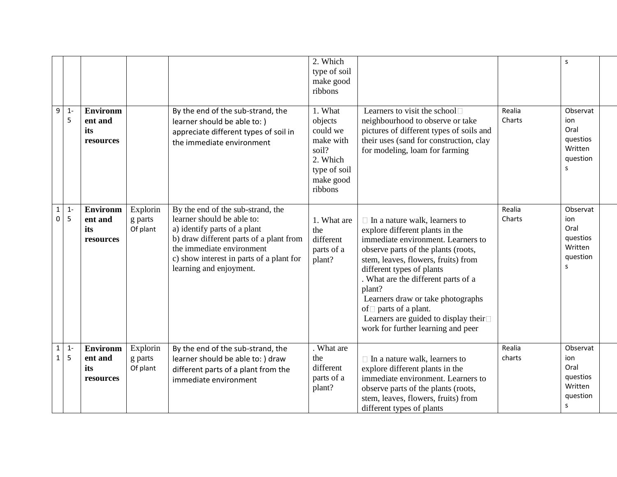|                              |            |                                                |                                 |                                                                                                                                                                                                                                                | 2. Which<br>type of soil<br>make good<br>ribbons                                                         |                                                                                                                                                                                                                                                                                                                                                                                                                              |                  | <sub>S</sub>                                                    |
|------------------------------|------------|------------------------------------------------|---------------------------------|------------------------------------------------------------------------------------------------------------------------------------------------------------------------------------------------------------------------------------------------|----------------------------------------------------------------------------------------------------------|------------------------------------------------------------------------------------------------------------------------------------------------------------------------------------------------------------------------------------------------------------------------------------------------------------------------------------------------------------------------------------------------------------------------------|------------------|-----------------------------------------------------------------|
| $\overline{9}$               | $1 -$<br>5 | <b>Environm</b><br>ent and<br>its<br>resources |                                 | By the end of the sub-strand, the<br>learner should be able to: )<br>appreciate different types of soil in<br>the immediate environment                                                                                                        | 1. What<br>objects<br>could we<br>make with<br>soil?<br>2. Which<br>type of soil<br>make good<br>ribbons | Learners to visit the school□<br>neighbourhood to observe or take<br>pictures of different types of soils and<br>their uses (sand for construction, clay<br>for modeling, loam for farming                                                                                                                                                                                                                                   | Realia<br>Charts | Observat<br>ion<br>Oral<br>questios<br>Written<br>question<br>s |
| $\mathbf{1}$<br>$\pmb{0}$    | $1 -$<br>5 | <b>Environm</b><br>ent and<br>its<br>resources | Explorin<br>g parts<br>Of plant | By the end of the sub-strand, the<br>learner should be able to:<br>a) identify parts of a plant<br>b) draw different parts of a plant from<br>the immediate environment<br>c) show interest in parts of a plant for<br>learning and enjoyment. | 1. What are<br>the<br>different<br>parts of a<br>plant?                                                  | $\Box$ In a nature walk, learners to<br>explore different plants in the<br>immediate environment. Learners to<br>observe parts of the plants (roots,<br>stem, leaves, flowers, fruits) from<br>different types of plants<br>. What are the different parts of a<br>plant?<br>Learners draw or take photographs<br>of $\Box$ parts of a plant.<br>Learners are guided to display their□<br>work for further learning and peer | Realia<br>Charts | Observat<br>ion<br>Oral<br>questios<br>Written<br>question<br>s |
| $\mathbf{1}$<br>$\mathbf{1}$ | $1 -$<br>5 | <b>Environm</b><br>ent and<br>its<br>resources | Explorin<br>g parts<br>Of plant | By the end of the sub-strand, the<br>learner should be able to: ) draw<br>different parts of a plant from the<br>immediate environment                                                                                                         | . What are<br>the<br>different<br>parts of a<br>plant?                                                   | $\Box$ In a nature walk, learners to<br>explore different plants in the<br>immediate environment. Learners to<br>observe parts of the plants (roots,<br>stem, leaves, flowers, fruits) from<br>different types of plants                                                                                                                                                                                                     | Realia<br>charts | Observat<br>ion<br>Oral<br>questios<br>Written<br>question<br>s |